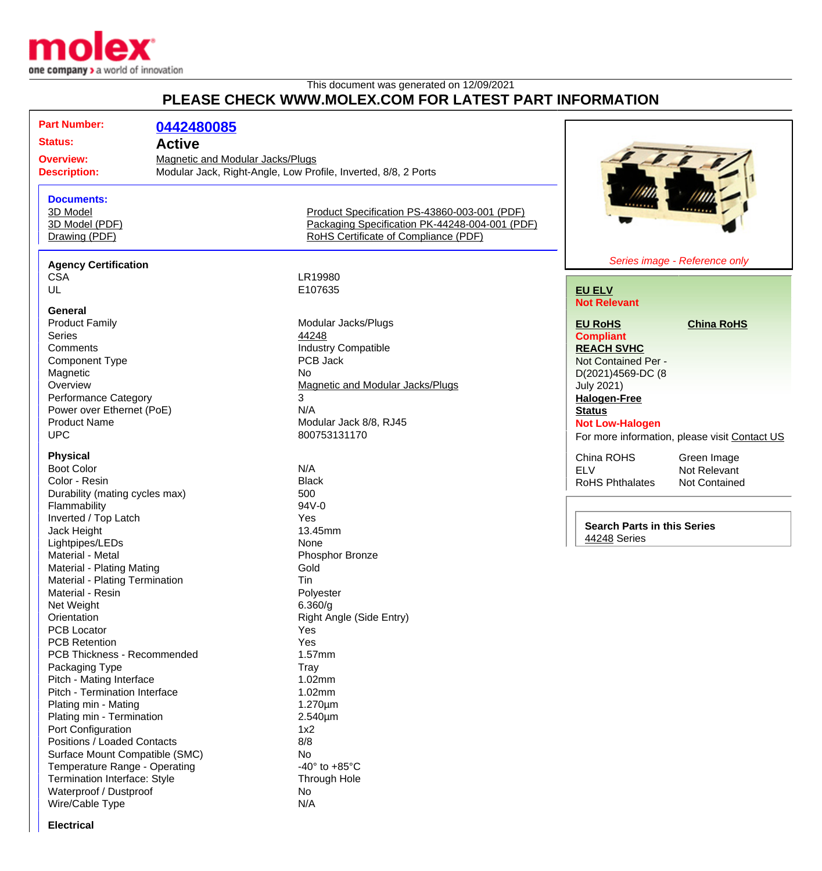

## This document was generated on 12/09/2021 **PLEASE CHECK WWW.MOLEX.COM FOR LATEST PART INFORMATION**

| <b>Documents:</b><br>3D Model<br>Product Specification PS-43860-003-001 (PDF)<br>Packaging Specification PK-44248-004-001 (PDF)<br>3D Model (PDF)<br>Drawing (PDF)<br>RoHS Certificate of Compliance (PDF)<br><b>Agency Certification</b><br><b>CSA</b><br>LR19980<br>UL<br>E107635<br><b>EU ELV</b><br><b>Not Relevant</b><br>General<br>Modular Jacks/Plugs<br><b>Product Family</b><br><b>EU RoHS</b><br>44248<br><b>Series</b><br><b>Compliant</b><br><b>Industry Compatible</b><br>Comments<br><b>REACH SVHC</b><br>PCB Jack<br><b>Component Type</b><br>Not Contained Per -<br>Magnetic<br><b>No</b><br>D(2021)4569-DC (8<br>Overview<br>Magnetic and Modular Jacks/Plugs<br><b>July 2021)</b><br>3<br><b>Performance Category</b><br><b>Halogen-Free</b><br>N/A<br>Power over Ethernet (PoE)<br><b>Status</b><br><b>Product Name</b><br>Modular Jack 8/8, RJ45<br><b>Not Low-Halogen</b><br><b>UPC</b><br>800753131170<br><b>Physical</b><br>China ROHS<br><b>Boot Color</b><br>N/A<br><b>ELV</b><br><b>Black</b><br>Color - Resin<br><b>RoHS Phthalates</b><br>Durability (mating cycles max)<br>500<br>Flammability<br>94V-0<br>Inverted / Top Latch<br>Yes<br><b>Search Parts in this Series</b><br>13.45mm<br>Jack Height<br>44248 Series<br>Lightpipes/LEDs<br>None<br>Material - Metal<br>Phosphor Bronze<br>Gold<br>Material - Plating Mating<br>Material - Plating Termination<br>Tin<br>Material - Resin<br>Polyester<br>Net Weight<br>6.360/g<br>Right Angle (Side Entry)<br>Orientation<br><b>PCB Locator</b><br>Yes<br><b>PCB Retention</b><br>Yes<br>PCB Thickness - Recommended<br>1.57mm<br>Packaging Type<br>Tray<br>Pitch - Mating Interface<br>1.02mm<br>Pitch - Termination Interface<br>1.02mm<br>Plating min - Mating<br>1.270µm<br>Plating min - Termination<br>2.540µm<br>Port Configuration<br>1x2<br>Positions / Loaded Contacts<br>8/8<br>Surface Mount Compatible (SMC)<br>No<br>Temperature Range - Operating<br>-40 $\degree$ to +85 $\degree$ C | <b>Part Number:</b><br><b>Status:</b><br><b>Overview:</b><br><b>Description:</b> | 0442480085<br><b>Active</b><br><b>Magnetic and Modular Jacks/Plugs</b><br>Modular Jack, Right-Angle, Low Profile, Inverted, 8/8, 2 Ports |                                               |
|--------------------------------------------------------------------------------------------------------------------------------------------------------------------------------------------------------------------------------------------------------------------------------------------------------------------------------------------------------------------------------------------------------------------------------------------------------------------------------------------------------------------------------------------------------------------------------------------------------------------------------------------------------------------------------------------------------------------------------------------------------------------------------------------------------------------------------------------------------------------------------------------------------------------------------------------------------------------------------------------------------------------------------------------------------------------------------------------------------------------------------------------------------------------------------------------------------------------------------------------------------------------------------------------------------------------------------------------------------------------------------------------------------------------------------------------------------------------------------------------------------------------------------------------------------------------------------------------------------------------------------------------------------------------------------------------------------------------------------------------------------------------------------------------------------------------------------------------------------------------------------------------------------------------------------------------------------------------------------------|----------------------------------------------------------------------------------|------------------------------------------------------------------------------------------------------------------------------------------|-----------------------------------------------|
|                                                                                                                                                                                                                                                                                                                                                                                                                                                                                                                                                                                                                                                                                                                                                                                                                                                                                                                                                                                                                                                                                                                                                                                                                                                                                                                                                                                                                                                                                                                                                                                                                                                                                                                                                                                                                                                                                                                                                                                      |                                                                                  |                                                                                                                                          |                                               |
|                                                                                                                                                                                                                                                                                                                                                                                                                                                                                                                                                                                                                                                                                                                                                                                                                                                                                                                                                                                                                                                                                                                                                                                                                                                                                                                                                                                                                                                                                                                                                                                                                                                                                                                                                                                                                                                                                                                                                                                      |                                                                                  |                                                                                                                                          | Series image - Reference only                 |
|                                                                                                                                                                                                                                                                                                                                                                                                                                                                                                                                                                                                                                                                                                                                                                                                                                                                                                                                                                                                                                                                                                                                                                                                                                                                                                                                                                                                                                                                                                                                                                                                                                                                                                                                                                                                                                                                                                                                                                                      |                                                                                  |                                                                                                                                          |                                               |
|                                                                                                                                                                                                                                                                                                                                                                                                                                                                                                                                                                                                                                                                                                                                                                                                                                                                                                                                                                                                                                                                                                                                                                                                                                                                                                                                                                                                                                                                                                                                                                                                                                                                                                                                                                                                                                                                                                                                                                                      |                                                                                  |                                                                                                                                          |                                               |
|                                                                                                                                                                                                                                                                                                                                                                                                                                                                                                                                                                                                                                                                                                                                                                                                                                                                                                                                                                                                                                                                                                                                                                                                                                                                                                                                                                                                                                                                                                                                                                                                                                                                                                                                                                                                                                                                                                                                                                                      |                                                                                  |                                                                                                                                          |                                               |
|                                                                                                                                                                                                                                                                                                                                                                                                                                                                                                                                                                                                                                                                                                                                                                                                                                                                                                                                                                                                                                                                                                                                                                                                                                                                                                                                                                                                                                                                                                                                                                                                                                                                                                                                                                                                                                                                                                                                                                                      |                                                                                  |                                                                                                                                          | <b>China RoHS</b>                             |
|                                                                                                                                                                                                                                                                                                                                                                                                                                                                                                                                                                                                                                                                                                                                                                                                                                                                                                                                                                                                                                                                                                                                                                                                                                                                                                                                                                                                                                                                                                                                                                                                                                                                                                                                                                                                                                                                                                                                                                                      |                                                                                  |                                                                                                                                          |                                               |
|                                                                                                                                                                                                                                                                                                                                                                                                                                                                                                                                                                                                                                                                                                                                                                                                                                                                                                                                                                                                                                                                                                                                                                                                                                                                                                                                                                                                                                                                                                                                                                                                                                                                                                                                                                                                                                                                                                                                                                                      |                                                                                  |                                                                                                                                          |                                               |
|                                                                                                                                                                                                                                                                                                                                                                                                                                                                                                                                                                                                                                                                                                                                                                                                                                                                                                                                                                                                                                                                                                                                                                                                                                                                                                                                                                                                                                                                                                                                                                                                                                                                                                                                                                                                                                                                                                                                                                                      |                                                                                  |                                                                                                                                          |                                               |
|                                                                                                                                                                                                                                                                                                                                                                                                                                                                                                                                                                                                                                                                                                                                                                                                                                                                                                                                                                                                                                                                                                                                                                                                                                                                                                                                                                                                                                                                                                                                                                                                                                                                                                                                                                                                                                                                                                                                                                                      |                                                                                  |                                                                                                                                          |                                               |
|                                                                                                                                                                                                                                                                                                                                                                                                                                                                                                                                                                                                                                                                                                                                                                                                                                                                                                                                                                                                                                                                                                                                                                                                                                                                                                                                                                                                                                                                                                                                                                                                                                                                                                                                                                                                                                                                                                                                                                                      |                                                                                  |                                                                                                                                          |                                               |
|                                                                                                                                                                                                                                                                                                                                                                                                                                                                                                                                                                                                                                                                                                                                                                                                                                                                                                                                                                                                                                                                                                                                                                                                                                                                                                                                                                                                                                                                                                                                                                                                                                                                                                                                                                                                                                                                                                                                                                                      |                                                                                  |                                                                                                                                          |                                               |
|                                                                                                                                                                                                                                                                                                                                                                                                                                                                                                                                                                                                                                                                                                                                                                                                                                                                                                                                                                                                                                                                                                                                                                                                                                                                                                                                                                                                                                                                                                                                                                                                                                                                                                                                                                                                                                                                                                                                                                                      |                                                                                  |                                                                                                                                          |                                               |
|                                                                                                                                                                                                                                                                                                                                                                                                                                                                                                                                                                                                                                                                                                                                                                                                                                                                                                                                                                                                                                                                                                                                                                                                                                                                                                                                                                                                                                                                                                                                                                                                                                                                                                                                                                                                                                                                                                                                                                                      |                                                                                  |                                                                                                                                          | For more information, please visit Contact US |
|                                                                                                                                                                                                                                                                                                                                                                                                                                                                                                                                                                                                                                                                                                                                                                                                                                                                                                                                                                                                                                                                                                                                                                                                                                                                                                                                                                                                                                                                                                                                                                                                                                                                                                                                                                                                                                                                                                                                                                                      |                                                                                  |                                                                                                                                          |                                               |
|                                                                                                                                                                                                                                                                                                                                                                                                                                                                                                                                                                                                                                                                                                                                                                                                                                                                                                                                                                                                                                                                                                                                                                                                                                                                                                                                                                                                                                                                                                                                                                                                                                                                                                                                                                                                                                                                                                                                                                                      |                                                                                  |                                                                                                                                          | Green Image<br>Not Relevant                   |
|                                                                                                                                                                                                                                                                                                                                                                                                                                                                                                                                                                                                                                                                                                                                                                                                                                                                                                                                                                                                                                                                                                                                                                                                                                                                                                                                                                                                                                                                                                                                                                                                                                                                                                                                                                                                                                                                                                                                                                                      |                                                                                  |                                                                                                                                          | Not Contained                                 |
|                                                                                                                                                                                                                                                                                                                                                                                                                                                                                                                                                                                                                                                                                                                                                                                                                                                                                                                                                                                                                                                                                                                                                                                                                                                                                                                                                                                                                                                                                                                                                                                                                                                                                                                                                                                                                                                                                                                                                                                      |                                                                                  |                                                                                                                                          |                                               |
|                                                                                                                                                                                                                                                                                                                                                                                                                                                                                                                                                                                                                                                                                                                                                                                                                                                                                                                                                                                                                                                                                                                                                                                                                                                                                                                                                                                                                                                                                                                                                                                                                                                                                                                                                                                                                                                                                                                                                                                      |                                                                                  |                                                                                                                                          |                                               |
|                                                                                                                                                                                                                                                                                                                                                                                                                                                                                                                                                                                                                                                                                                                                                                                                                                                                                                                                                                                                                                                                                                                                                                                                                                                                                                                                                                                                                                                                                                                                                                                                                                                                                                                                                                                                                                                                                                                                                                                      |                                                                                  |                                                                                                                                          |                                               |
|                                                                                                                                                                                                                                                                                                                                                                                                                                                                                                                                                                                                                                                                                                                                                                                                                                                                                                                                                                                                                                                                                                                                                                                                                                                                                                                                                                                                                                                                                                                                                                                                                                                                                                                                                                                                                                                                                                                                                                                      |                                                                                  |                                                                                                                                          |                                               |
|                                                                                                                                                                                                                                                                                                                                                                                                                                                                                                                                                                                                                                                                                                                                                                                                                                                                                                                                                                                                                                                                                                                                                                                                                                                                                                                                                                                                                                                                                                                                                                                                                                                                                                                                                                                                                                                                                                                                                                                      |                                                                                  |                                                                                                                                          |                                               |
|                                                                                                                                                                                                                                                                                                                                                                                                                                                                                                                                                                                                                                                                                                                                                                                                                                                                                                                                                                                                                                                                                                                                                                                                                                                                                                                                                                                                                                                                                                                                                                                                                                                                                                                                                                                                                                                                                                                                                                                      |                                                                                  |                                                                                                                                          |                                               |
|                                                                                                                                                                                                                                                                                                                                                                                                                                                                                                                                                                                                                                                                                                                                                                                                                                                                                                                                                                                                                                                                                                                                                                                                                                                                                                                                                                                                                                                                                                                                                                                                                                                                                                                                                                                                                                                                                                                                                                                      |                                                                                  |                                                                                                                                          |                                               |
|                                                                                                                                                                                                                                                                                                                                                                                                                                                                                                                                                                                                                                                                                                                                                                                                                                                                                                                                                                                                                                                                                                                                                                                                                                                                                                                                                                                                                                                                                                                                                                                                                                                                                                                                                                                                                                                                                                                                                                                      |                                                                                  |                                                                                                                                          |                                               |
|                                                                                                                                                                                                                                                                                                                                                                                                                                                                                                                                                                                                                                                                                                                                                                                                                                                                                                                                                                                                                                                                                                                                                                                                                                                                                                                                                                                                                                                                                                                                                                                                                                                                                                                                                                                                                                                                                                                                                                                      |                                                                                  |                                                                                                                                          |                                               |
|                                                                                                                                                                                                                                                                                                                                                                                                                                                                                                                                                                                                                                                                                                                                                                                                                                                                                                                                                                                                                                                                                                                                                                                                                                                                                                                                                                                                                                                                                                                                                                                                                                                                                                                                                                                                                                                                                                                                                                                      |                                                                                  |                                                                                                                                          |                                               |
|                                                                                                                                                                                                                                                                                                                                                                                                                                                                                                                                                                                                                                                                                                                                                                                                                                                                                                                                                                                                                                                                                                                                                                                                                                                                                                                                                                                                                                                                                                                                                                                                                                                                                                                                                                                                                                                                                                                                                                                      |                                                                                  |                                                                                                                                          |                                               |
|                                                                                                                                                                                                                                                                                                                                                                                                                                                                                                                                                                                                                                                                                                                                                                                                                                                                                                                                                                                                                                                                                                                                                                                                                                                                                                                                                                                                                                                                                                                                                                                                                                                                                                                                                                                                                                                                                                                                                                                      |                                                                                  |                                                                                                                                          |                                               |
|                                                                                                                                                                                                                                                                                                                                                                                                                                                                                                                                                                                                                                                                                                                                                                                                                                                                                                                                                                                                                                                                                                                                                                                                                                                                                                                                                                                                                                                                                                                                                                                                                                                                                                                                                                                                                                                                                                                                                                                      |                                                                                  |                                                                                                                                          |                                               |
|                                                                                                                                                                                                                                                                                                                                                                                                                                                                                                                                                                                                                                                                                                                                                                                                                                                                                                                                                                                                                                                                                                                                                                                                                                                                                                                                                                                                                                                                                                                                                                                                                                                                                                                                                                                                                                                                                                                                                                                      |                                                                                  |                                                                                                                                          |                                               |
|                                                                                                                                                                                                                                                                                                                                                                                                                                                                                                                                                                                                                                                                                                                                                                                                                                                                                                                                                                                                                                                                                                                                                                                                                                                                                                                                                                                                                                                                                                                                                                                                                                                                                                                                                                                                                                                                                                                                                                                      |                                                                                  |                                                                                                                                          |                                               |
|                                                                                                                                                                                                                                                                                                                                                                                                                                                                                                                                                                                                                                                                                                                                                                                                                                                                                                                                                                                                                                                                                                                                                                                                                                                                                                                                                                                                                                                                                                                                                                                                                                                                                                                                                                                                                                                                                                                                                                                      |                                                                                  |                                                                                                                                          |                                               |
|                                                                                                                                                                                                                                                                                                                                                                                                                                                                                                                                                                                                                                                                                                                                                                                                                                                                                                                                                                                                                                                                                                                                                                                                                                                                                                                                                                                                                                                                                                                                                                                                                                                                                                                                                                                                                                                                                                                                                                                      |                                                                                  |                                                                                                                                          |                                               |
|                                                                                                                                                                                                                                                                                                                                                                                                                                                                                                                                                                                                                                                                                                                                                                                                                                                                                                                                                                                                                                                                                                                                                                                                                                                                                                                                                                                                                                                                                                                                                                                                                                                                                                                                                                                                                                                                                                                                                                                      |                                                                                  |                                                                                                                                          |                                               |
|                                                                                                                                                                                                                                                                                                                                                                                                                                                                                                                                                                                                                                                                                                                                                                                                                                                                                                                                                                                                                                                                                                                                                                                                                                                                                                                                                                                                                                                                                                                                                                                                                                                                                                                                                                                                                                                                                                                                                                                      |                                                                                  |                                                                                                                                          |                                               |
|                                                                                                                                                                                                                                                                                                                                                                                                                                                                                                                                                                                                                                                                                                                                                                                                                                                                                                                                                                                                                                                                                                                                                                                                                                                                                                                                                                                                                                                                                                                                                                                                                                                                                                                                                                                                                                                                                                                                                                                      |                                                                                  |                                                                                                                                          |                                               |
|                                                                                                                                                                                                                                                                                                                                                                                                                                                                                                                                                                                                                                                                                                                                                                                                                                                                                                                                                                                                                                                                                                                                                                                                                                                                                                                                                                                                                                                                                                                                                                                                                                                                                                                                                                                                                                                                                                                                                                                      |                                                                                  |                                                                                                                                          |                                               |
| Termination Interface: Style<br><b>Through Hole</b>                                                                                                                                                                                                                                                                                                                                                                                                                                                                                                                                                                                                                                                                                                                                                                                                                                                                                                                                                                                                                                                                                                                                                                                                                                                                                                                                                                                                                                                                                                                                                                                                                                                                                                                                                                                                                                                                                                                                  |                                                                                  |                                                                                                                                          |                                               |
| Waterproof / Dustproof<br>No.                                                                                                                                                                                                                                                                                                                                                                                                                                                                                                                                                                                                                                                                                                                                                                                                                                                                                                                                                                                                                                                                                                                                                                                                                                                                                                                                                                                                                                                                                                                                                                                                                                                                                                                                                                                                                                                                                                                                                        |                                                                                  |                                                                                                                                          |                                               |
| Wire/Cable Type<br>N/A                                                                                                                                                                                                                                                                                                                                                                                                                                                                                                                                                                                                                                                                                                                                                                                                                                                                                                                                                                                                                                                                                                                                                                                                                                                                                                                                                                                                                                                                                                                                                                                                                                                                                                                                                                                                                                                                                                                                                               |                                                                                  |                                                                                                                                          |                                               |

**Electrical**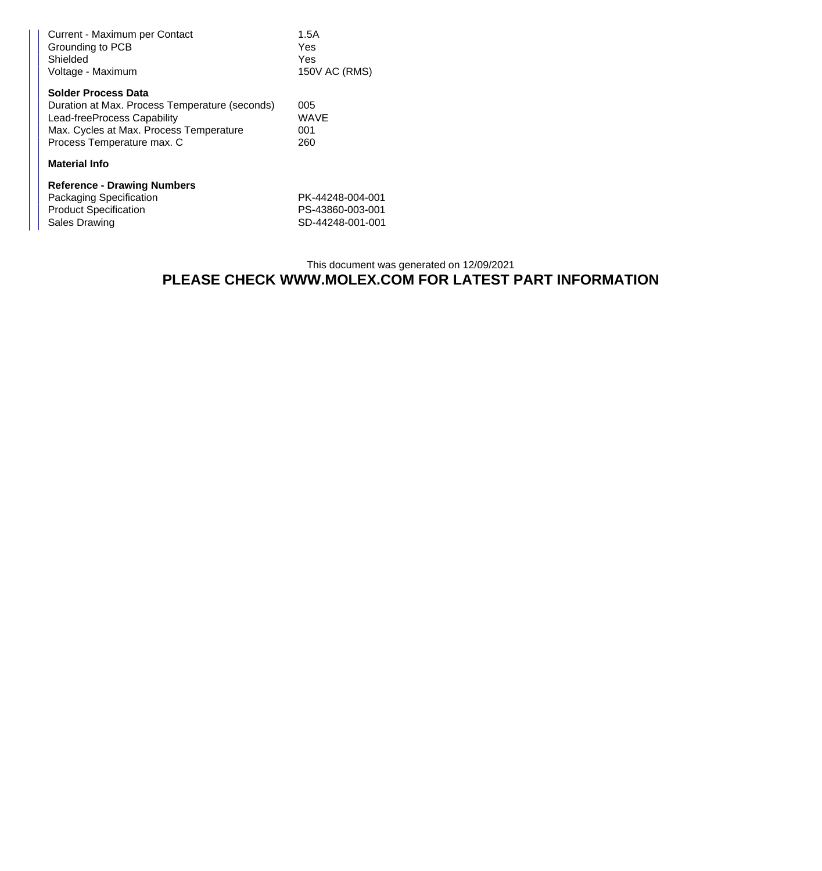| Current - Maximum per Contact<br>Grounding to PCB<br>Shielded<br>Voltage - Maximum | 1.5A<br>Yes<br>Yes<br>150V AC (RMS) |  |  |  |
|------------------------------------------------------------------------------------|-------------------------------------|--|--|--|
| <b>Solder Process Data</b>                                                         |                                     |  |  |  |
| Duration at Max. Process Temperature (seconds)                                     | 005                                 |  |  |  |
| Lead-freeProcess Capability                                                        | WAVE                                |  |  |  |
| Max. Cycles at Max. Process Temperature                                            | 001                                 |  |  |  |
| Process Temperature max. C                                                         | 260                                 |  |  |  |
| <b>Material Info</b>                                                               |                                     |  |  |  |
| <b>Reference - Drawing Numbers</b>                                                 |                                     |  |  |  |
| Packaging Specification                                                            | PK-44248-004-001                    |  |  |  |
| <b>Product Specification</b>                                                       | PS-43860-003-001                    |  |  |  |
| Sales Drawing                                                                      | SD-44248-001-001                    |  |  |  |

## This document was generated on 12/09/2021 **PLEASE CHECK WWW.MOLEX.COM FOR LATEST PART INFORMATION**